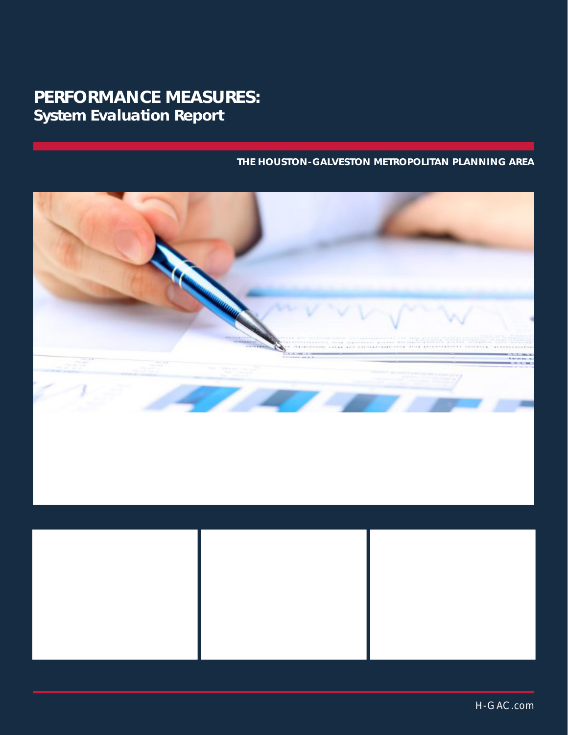# **PERFORMANCE MEASURES SYSTEM EVALUATION REPORT**

#### **Introduction**

The Moving Ahead for Progress in the  $21<sup>st</sup>$  Century (MAP-21) and the Fixing America's Surface Transportation (FAST) Act legislations introduced Transportation Performance Management into the Federal Highway Program addressing the challenges facing the transportation system on a national level, including:

- Improving safety
- Maintaining infrastructure condition
- Reducing traffic congestion
- Improving the efficiency of the system and freight movement
- Protecting the environment

The objective of Transportation Performance Management is to focus federal funds on the achievement of national goals, increase accountability and transparency, and improve investment decision-making through performance-based planning and programming of transportation projects. The federal rulemaking requires the establishment of goals for which Metropolitan Planning Organizations, and state Departments of Transportation will be required to set targets, report on and make progress towards targets for numerous federal performance measures. H-GAC has the responsibility for these measures in a variety of key performance areas, such as Safety, Pavement and Bridges, Reliability, Congestion, Air Quality and Transit Asset Management.

Fixing America's Surface Transportation (FAST) Act's final planning rules for the metropolitan planning process and the Regional Transportation Plan (RTP) became effective on May 27, 2018. The FAST Act builds on the changes made by the Moving Ahead for Progress in the  $21^{st}$  Century, including provisions to make surface transportation more streamlined, performance-based, and multimodal, and to address challenges facing the U.S. transportation system. Metropolitan Planning Organizations may support the state targets or establish their own regional targets. During 2018, H-GAC adopted performance targets with the performance-based planning process required by FHWA. The final set of performance targets were adopted on October 26, 2018. During the formulation of the planning targets, extensive collaboration occurred between the Texas Department of Transportation, public transportation providers and H-GAC.

Transportation Performance Management (TPM) is not a new concept to H-GAC. Many of the federal Performance Measures align and compliment H-GAC's existing performance measures. Performance management is a powerful analytical tool for tracking regional performance over time and can illustrate how the greater Houston region compares to other regions nationwide. Target setting, tracking and reporting of Performance Measures are conducted in a relatively short timeframe, from one to four years. TPM gives transportation planners the opportunity to link the short-term performance to long-range priorities for the region. One of the positive results of Performance Management is a heightened awareness by transportation planners for a renewed focus on key performance areas that will remain at the forefront for years to come. Additionally, it improves accountability and transparency when reporting to the public.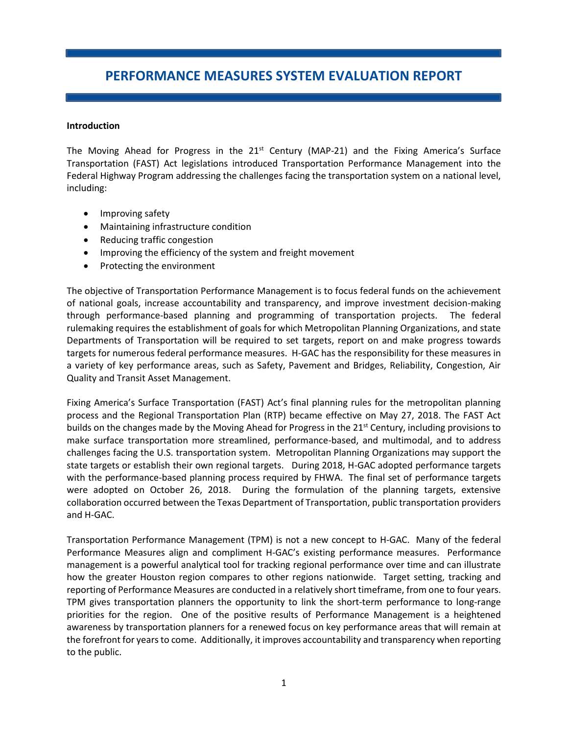#### **Emphasis on the National Highway System**

The federal Performance Measures place a strong emphasis on the National Highway System (NHS). The NHS is a network of critical highways important to the nation's economy, defense and mobility that link major airports, ports, public transportation facilities, rail and truck intermodal terminals. The Regional Transportation Plan 2045 is focused on all major roads of the region's transportation system, not just the National Highway System. In the H-GAC 8-county region, there are 8,784 lane miles on the National Highway System.

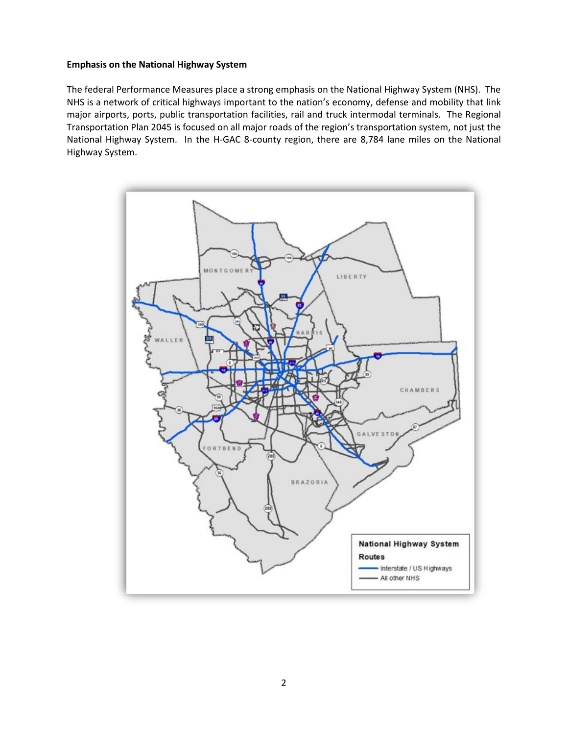# **TRANSPORTATION PERFORMANCE MEASURES AND THE 2045 RTP**

The federal government passed two transportation bills, the Moving Ahead for Progress in the 21st Century (MAP-21) in 2012 and the Fixing Surface Transportation in the  $21<sup>st</sup>$  Century (FAST Act) in 2015. Among other things, they require metropolitan planning organizations to establish performance-based planning practices. In order to comply with MAP-21 changes, MPOs across the country adopted and implemented programs and performance targets, and set priorities based on performance measures.

According to the laws, performance will be judged on a system-wide level, and should be tied to project prioritization. As such, the 2045 RTP proposes certain performance measures to represent this principle at a regional level. Because MAP-21 requires that transportation system challenges be addressed through a data driven, performance-based approach, measures selected were chosen mainly because they were focused on system performance and assets, sensitive to various transportation modes, and had a nexus to the established goals.

Several challenges exist for some of the performance measures such as the lack of available, useable or consistent data. H-GAC and TxDOT are addressing these deficiencies to improve data collection methods and expand collection efforts to data suitable to accurately set performance targets. For example, TxDOT is adapting their pavement collection methods to align with the federal criteria. Additionally, H-GAC is exploring new data collection for the System Performance measures. As required by the federal measures, H-GAC will periodically review, analyze performance measure data, and will report how target progress has been achieved by the MPO for the target years of 2020 and 2022.

The following section describes each measure, the manner in which it is measured, and the desired outcome for each measure. Given the broad scope and time horizon of the plan, these performance measures identify various factors that encompass topics including asset management, congestion, safety, environment, and economic competitiveness that will help assess progress towards meeting the plan's vision and goals. While the desire is to see a dramatic improvement in each performance measure area, limited funding and other factors that influence system utilization, the desired outcomes for the performance measures cannot be reduced in absolute terms.

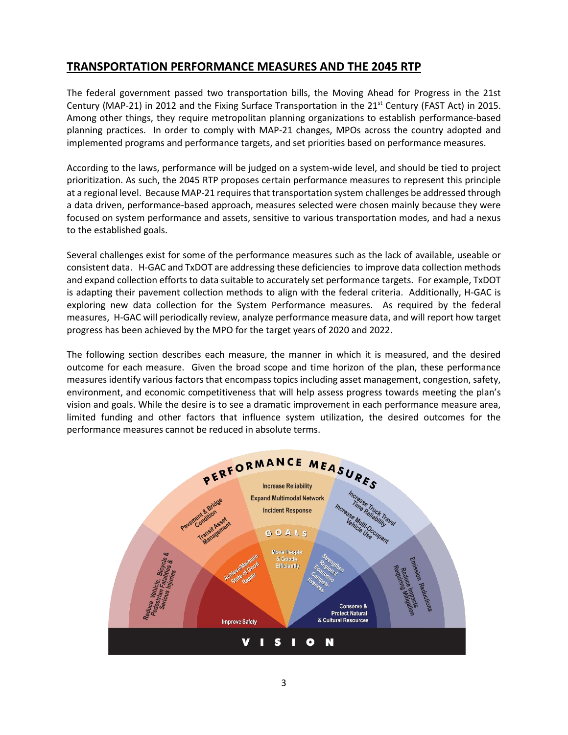#### **FHWA and FTA Performance Measures**

| Category                           | <b>Performance Measure</b>                                                                   | <b>Applicability</b>                                                                 | <b>Reporting</b><br><b>Frequency</b> |  |
|------------------------------------|----------------------------------------------------------------------------------------------|--------------------------------------------------------------------------------------|--------------------------------------|--|
|                                    | <b>Number of fatalities</b>                                                                  |                                                                                      |                                      |  |
| Highway                            | <b>Rate of fatalities</b>                                                                    |                                                                                      | Annually                             |  |
| Safety                             | Number of serious injuries                                                                   | All public roads                                                                     |                                      |  |
|                                    | Rate of serious injuries                                                                     |                                                                                      |                                      |  |
|                                    | Number of non-motorized fatalities and serious injuries                                      |                                                                                      |                                      |  |
|                                    | Percentage of pavements of the Interstate System in<br><b>Good condition</b>                 | Interstate System                                                                    |                                      |  |
|                                    | Percentage of pavements of the Interstate System in<br>Poor condition                        |                                                                                      | Biennially                           |  |
| Pavement                           | Percentage of pavements of the non-Interstate NHS in<br><b>Good condition</b>                | Non-Interstate NHS                                                                   | with four-                           |  |
| and Bridge<br>Condition            | Percentage of pavements of the non-Interstate NHS in<br>Poor condition                       |                                                                                      | year<br>performance                  |  |
|                                    | Percentage of NHS bridges classified as in Good<br>condition                                 | National Highway System (NHS)                                                        | periods                              |  |
|                                    | Percentage of NHS bridges classified as in Poor<br>condition                                 |                                                                                      |                                      |  |
|                                    | Percent of the person-miles traveled on the Interstate<br>that are reliable (LOTTR)          | Interstate System                                                                    |                                      |  |
| Highway                            | Percent of the person-miles traveled on the Non-<br>Interstate NHS that are reliable (LOTTR) | Non-Interstate NHS                                                                   | Biennially<br>with four-             |  |
| System                             | Truck Travel Time Reliability (TTTR) Index                                                   | Interstate System                                                                    | year                                 |  |
| Performance                        | Annual Hours of Peak Hour Excessive Delay Per Capita                                         | National Highway System (NHS)                                                        | performance                          |  |
|                                    | Percent of Trips that with Non-Single Occupant Vehicles                                      | Urbanized area                                                                       | periods                              |  |
|                                    | <b>Total Emissions Reduction</b>                                                             | Urbanized area                                                                       |                                      |  |
|                                    | <b>Rolling Stock</b>                                                                         | The percentage of revenue<br>vehicles that exceed the Useful<br>Life Benchmark (ULB) |                                      |  |
|                                    | Equipment                                                                                    | The percentage of non-revenue<br>service vehicles that exceed the<br><b>ULB</b>      |                                      |  |
| <b>Transit Asset</b><br>Management | <b>Facilities</b>                                                                            | The percentage of facilities that<br>are rated less than 3.0 on the                  | Annually                             |  |
|                                    |                                                                                              | <b>Transit Economic Requirements</b>                                                 |                                      |  |
|                                    |                                                                                              | Model (TERM) Scale                                                                   |                                      |  |
|                                    | Infrastructure                                                                               | The percentage of track                                                              |                                      |  |
|                                    |                                                                                              | segments (by mode) that have                                                         |                                      |  |
|                                    |                                                                                              | performance restrictions                                                             |                                      |  |

The investments identified in the 2040 RTP were guided by a vision and supported by the goals and strategies. This framework articulated the regional needs and priorities in four key areas of transportation investments.

- 1. Mobility
- 2. Alternative Modes
- 3. Air Quality
- 4. Planning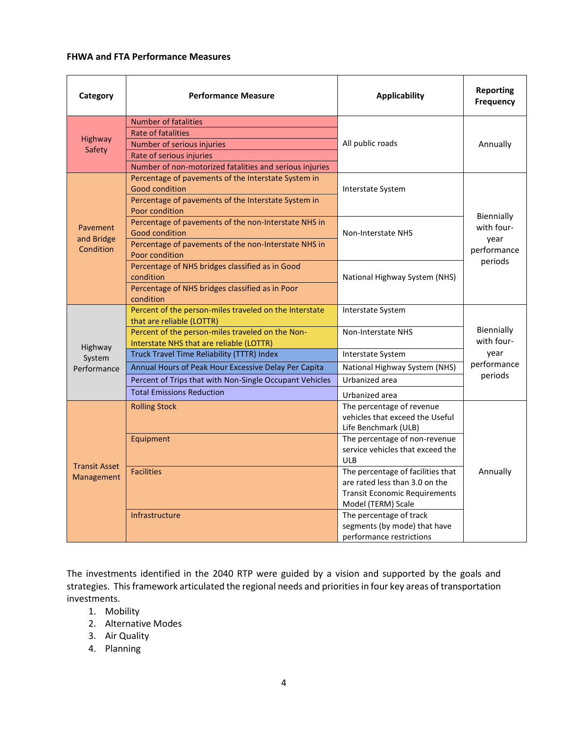The 2045 RTP Vision, Goals, and Strategies were established by the Transportation Policy Council (TPC), Technical Advisory Committee (TAC), and relevant TPC and TAC subcommittees. Building on the investment area structure established in the 2040 RTP, the TPC established 21 investment categories aligned with the 2045 RTP goals and strategies, as priority areas of investments. Table 2, shown below, illustrates the linkage between the 2040 RTP Investment Type, 2045 RTP Investment Strategy, 2045 RTP Investment Categories and the performance measures and targets they directly contribute towards achieving.

|                                             |                             |                                                           | <b>Performance Measures</b> |                             |                    |                                       |                                   |                                           |
|---------------------------------------------|-----------------------------|-----------------------------------------------------------|-----------------------------|-----------------------------|--------------------|---------------------------------------|-----------------------------------|-------------------------------------------|
| <b>Investment Type</b>                      | <b>RTP Strategy</b>         | <b>Investment Category</b>                                | <b>Safety</b>               | Pavement &<br><b>Bridge</b> | <b>Reliability</b> | Freight (Truck<br><b>Travel Time)</b> | Congestion/<br><b>Air Quality</b> | <b>Transit Asset</b><br><b>Management</b> |
| Mobility. Alternative<br>Modes, Air Quality | Expand, Manage,<br>Maintain | Major Investments                                         |                             | O                           |                    |                                       |                                   |                                           |
|                                             | Expand                      | Roadway Added Capacity/New<br>Construction                | $\bullet$                   | $\bullet$                   | $\bullet$          | e                                     |                                   |                                           |
|                                             |                             | Innovative Freight Movement                               | $\bullet$                   | $\bullet$                   | $\bullet$          | $\bullet$                             | $\bullet$                         |                                           |
|                                             |                             | Incident Management (Towing)                              | $\bullet$                   |                             | $\bullet$          | $\bullet$                             | $\bullet$                         |                                           |
|                                             |                             | Incident Management (MAP)                                 | $\bullet$                   |                             | $\bullet$          | $\bullet$                             | $\bullet$                         |                                           |
| Mobility                                    | Manage                      | Access<br>Management/Safety/Grade<br>Separations          | O                           | $\bullet$                   | 0                  |                                       |                                   |                                           |
|                                             |                             | Intelligent Transportation<br>System Infrastructure       | $\bullet$                   | $\bullet$                   | $\bullet$          | O                                     | ●                                 |                                           |
|                                             |                             | Infrastructure Resiliency                                 | $\bullet$                   |                             |                    |                                       | $\bullet$                         |                                           |
|                                             | Maintain                    | Roadway Reconstruction and<br>Rehabilitation              | $\bullet$                   | $\bullet$                   |                    |                                       |                                   |                                           |
|                                             | Expand, Manage,<br>Maintain | <b>Active Transportation</b>                              | $\bullet$                   |                             |                    |                                       | $\bullet$                         |                                           |
|                                             | Expand                      | <b>Transit Expansion (Vehicle</b><br>Purchase)            | $\bullet$                   |                             | $\bullet$          | $\bullet$                             | $\bullet$                         | $\bullet$                                 |
|                                             |                             | <b>Transit Passenger Facilities</b>                       | $\bullet$                   |                             | $\bullet$          | $\bullet$                             | $\bullet$                         |                                           |
| Alternative Modes                           | Manage                      | Transit Priority Infrastructure                           | $\bullet$                   |                             | $\bullet$          | $\bullet$                             | $\bullet$                         |                                           |
|                                             |                             | <b>Transit Regional Fare Collection</b>                   | $\bullet$                   |                             | 0                  | $\bullet$                             | $\bullet$                         |                                           |
|                                             | Maintain                    | <b>Transit Passenger Facility State</b><br>of Good Repair | $\bullet$                   |                             | $\bullet$          |                                       | $\bullet$                         | $\bullet$                                 |
| Air Quality                                 |                             | Regional ITS (TranStar)                                   | $\bullet$                   |                             | $\bullet$          | $\bullet$                             | $\bullet$                         |                                           |
|                                             | Expand                      | Pilot Commuter Transit                                    |                             |                             | $\bullet$          | $\bullet$                             | $\bullet$                         |                                           |
|                                             |                             | Regional Vanpool                                          |                             |                             | $\bullet$          | $\bullet$                             | $\bullet$                         |                                           |
|                                             | Manage                      | <b>Commute Solutions</b>                                  |                             |                             | $\bullet$          | $\bullet$                             | $\bullet$                         |                                           |
|                                             | Maintain                    | Clean Cities/Clean Vehicles                               |                             |                             |                    |                                       | $\bullet$                         |                                           |
| Planning                                    | Expand, Manage,<br>Maintain | Sub-Regional Planning                                     |                             |                             |                    |                                       |                                   |                                           |

### Table 2.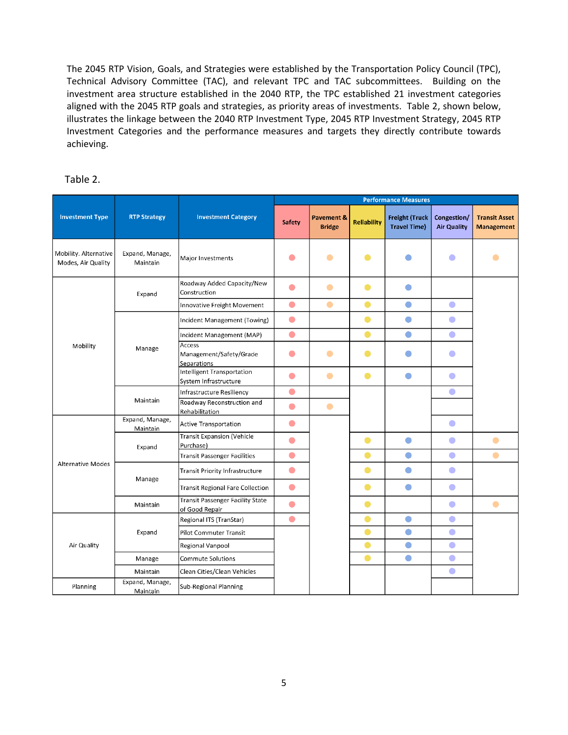Out of twenty-one Investment categories, nine categories were recommended to be programmed and funded annually for the 10-year period from FY 2019 through FY 2028, identified in Table 3. This was approved in a cooperative process by consulting with the local governments and agencies, the Transportation Policy Council, the Technical Advisory Committee, and relevant subcommittees.

| 2040 RTP Investment Type | 2045 RTP Strategy | <b>2045 RTP Investment Category</b>     |
|--------------------------|-------------------|-----------------------------------------|
|                          | Manage            | Incident Management (Towing)            |
| Mobility                 |                   | Incident Management (MAP)               |
| <b>Alternative Modes</b> | Manage            | <b>Transit Regional Fare Collection</b> |
|                          |                   | Regional ITS (TranStar)                 |
| Air Quality              | Expand            | Pilot Commuter Transit                  |
|                          |                   | Regional Vanpool                        |
|                          | Manage            | <b>Commute Solutions</b>                |
|                          | Maintain          | Clean Cities/Clean Vehicles             |

Table 3.

### **2018 Call for Projects Evaluation Criteria:**

The 2018 Call for Projects evaluation and selection criteria were developed in a cooperative manner by consulting with local agencies, the Transportation Policy Council (TPC) , the Technical Advisory Committee, and relevant subcommittees. All projects submitted through the 2018 Call for Projects (2018 CFP) were evaluated based on 50% score (100 points) given to its benefit/cost ratio and 50% score (100 points) given to various planning factors. The benefit cost analyses were calculated within a spreadsheet template that evaluated the project's benefits in three major areas:

- Safety reduction in crashes
- Delay reduction in travel delay
- Emissions reduction of on-road vehicle emissions

The remaining 50% of the score was based on multiple planning factors with a direct linkage to performance measures and the RTP goals and strategies and relative to each investment category. Planning factors for highway and transit projects include, but are not limited to, the improvement to multimodal level of service; freight system priority/evacuation route, life cycle maintenance strategies, corridor level of travel time reliability, reduction in vehicle miles traveled, connectivity to employment, transit reliability, transit vehicle and facility life cycle maintenance strategies.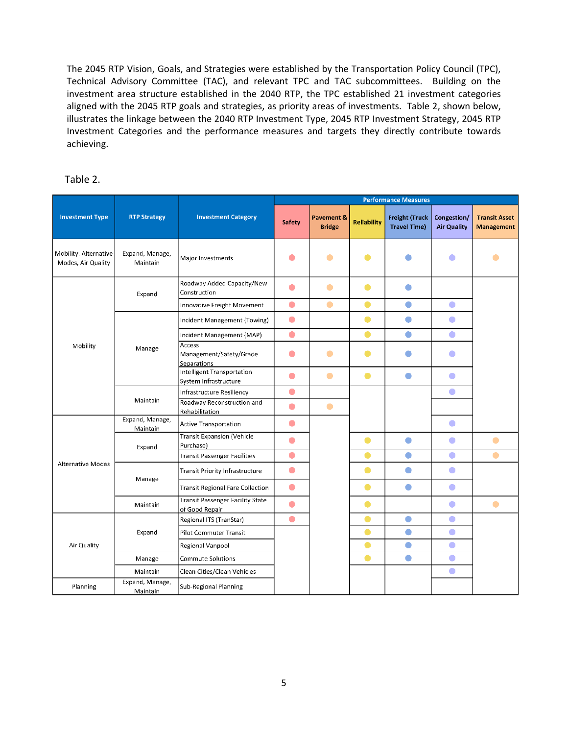The 2018 Call for Projects application submittal period began on September 4th and concluded on October 31, 2018. During this period, H-GAC received a total of 193 applications from various local partners and TxDOT. Out of 193 project applications, a total of thirty-six (36) projects in various investment categories were recommended for funding for the 10 year period, between FY 2019 and FY 2028. The TPC approved projects across thirteen Investment Categories, listed in Table 4, through the competitive Call for Projects process.

| able |  |
|------|--|
|      |  |

| <b>2040 RTP Investment</b><br><b>Type</b>   | <b>2045 RTP Strategy</b> | <b>2045 RTP Investment Category</b>                 |
|---------------------------------------------|--------------------------|-----------------------------------------------------|
| Mobility, Alternative<br>Modes, Air Quality | Expand, Manage, Maintain | Major Investments                                   |
|                                             | Expand                   | Roadway Added Capacity/New<br>Construction          |
| Mobility                                    |                          | Innovative Freight Movement                         |
|                                             | Manage                   | Access Management/Safety/Grade<br>Separations       |
|                                             |                          | Intelligent Transportation System<br>Infrastructure |
|                                             |                          | Infrastructure Resiliency                           |
|                                             | Maintain                 | Roadway Reconstruction and Rehabilitation           |
|                                             | Expand, Manage, Maintain | <b>Active Transportation</b>                        |
|                                             |                          | <b>Transit Expansion (Vehicle Purchase)</b>         |
| Alternative Modes                           | Expand                   | <b>Transit Passenger Facilities</b>                 |
|                                             | Manage                   | <b>Transit Priority Infrastructure</b>              |
|                                             | Maintain                 | Transit Passenger Facility State of Good<br>Repair  |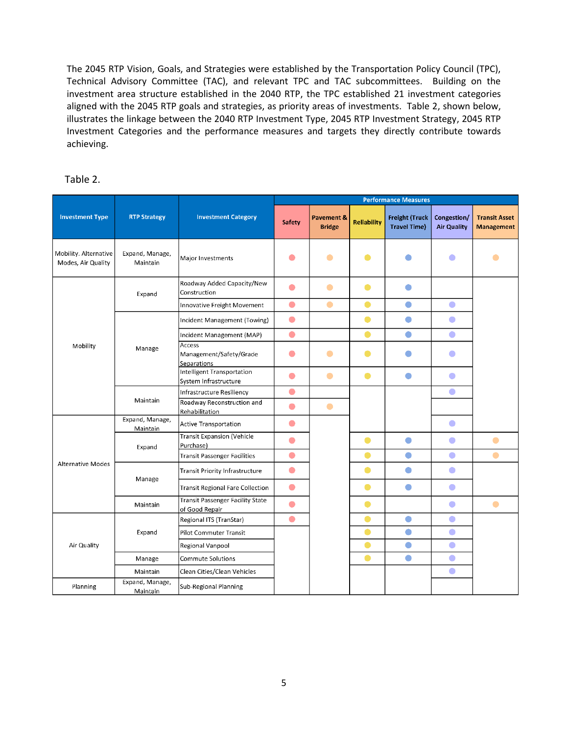# **HIGHWAY SAFETY**

Safety is a top regional priority. Although motorists are the largest group of system users injured or killed in crashes, pedestrians and cyclists are also at risk. Addressing this goal will not only benefit regional health, but the community's quality of life and economic competitiveness. A safe regional transportation system operates reliably, delivers goods and services on time, and returns users home at the end of their trip.

The Houston-Galveston Regional Safety Plan sets a baseline for safety crash data, analyzes regional trends, and is used to inform performance target setting. The report data serves as a baseline for subsequent years to measure whether there was significant improvement compared to previous years. The Texas Strategic Highway Safety Plan estimates the probable number of fatalities and serious injuries for the target year of 2022. Federal rulemaking requires Metropolitan Planning Organizations to either support state targets or establish their own specific targets for the five safety performance measures for all public roads in the MPO planning area, within 180 days after the State establishes statewide targets. The MPO then reports targets to the State, when requested. Statewide, when at least four out of five targets are met or the outcome for the performance measure is better than the baseline performance for the year prior to the target year, a determination of significant progress will be made.

During safety target setting discussions of the Transportation Policy Council (TPC) and the Transportation Advisory Committee, aspirational goals for the long-term were expressed. While the H-GAC region is forecasted to experience a high level of economic and population growth, subsequently, it results in a rise in travel, crashes and fatalities. For the purposes of short-term target setting, the targets were set to reflect the probable amount of fatalities and serious injuries. However, the increasing trends in fatalities and crashes do not reflect the intent and commitment of the TPC to improve traffic safety in the Houston-Galveston region. H-GAC has committed to participate in advancing crash reduction strategies through the Regional Safety Plan and will annually assess progress on Safety Performance Measures. H-GAC's Transportation Policy Council approved a resolution to support the State's adopted safety targets for the five performance measures. H-GAC set targets that represent a two percent (2%) reduction from the trend line projection in the five (5) safety performance measures for the period from 2017 to 2022. The decline is expected to begin gradually in 2018 and progress to the two percent (2%) reduction by the target year 2022.

| <b>Performance Measures</b>                       | 2017 | 2018 | 2019 | 2020 | 2021 | 2022 |
|---------------------------------------------------|------|------|------|------|------|------|
| <b>Number of Fatalities</b>                       |      |      |      |      |      |      |
| Rate of Fatalities (per 100 million Vehicle Miles |      |      |      |      |      |      |
| Traveled)                                         |      |      |      |      |      |      |
| Number of Serious Injuries                        |      |      |      |      |      |      |
|                                                   | 0.0% | 0.4% | 0.8% | 1.2% | 1.6% | 2.0% |
| Rate of Serious Injuries (per 100 million VMT)    |      |      |      |      |      |      |
|                                                   |      |      |      |      |      |      |
| Number of Non-Motorized                           |      |      |      |      |      |      |
| Fatalities & Serious Injuries                     |      |      |      |      |      |      |
|                                                   |      |      |      |      |      |      |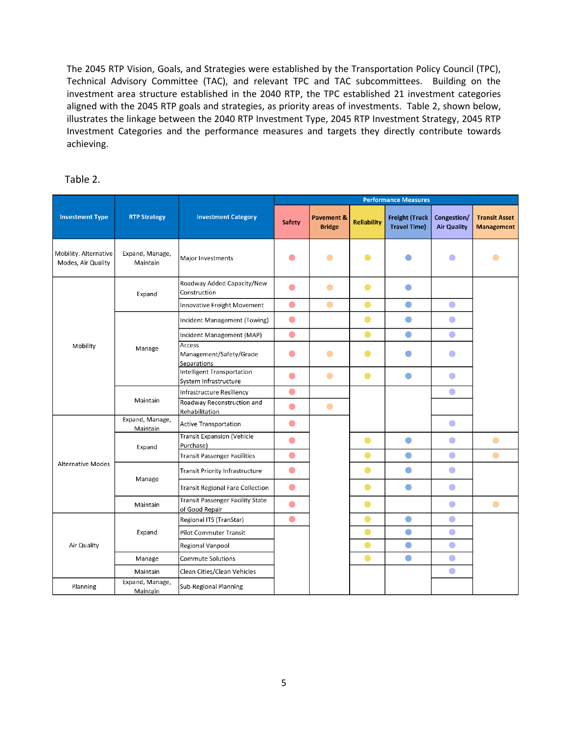## **Fatalities**

**Measure** – Five-year rolling averages of the number and rate of vehicular fatalities in the H-GAC region.

**Methodology** – Fatality numbers and rates are obtained from the national Fatality Analysis Reporting System (FARS). Fatality rates are calculated per 100 Million Vehicle Miles Traveled in the region.

**Applicability** – All public roads and highways

**Reporting Frequency** - Annually

**Condition and Targets** – H-GAC adopted the State's safety targets for the number and rate of fatalities. The target is a 2% reduction from the trend line projection over a 5-year period. The values in the chart are statistics for the 8-county H-GAC region.



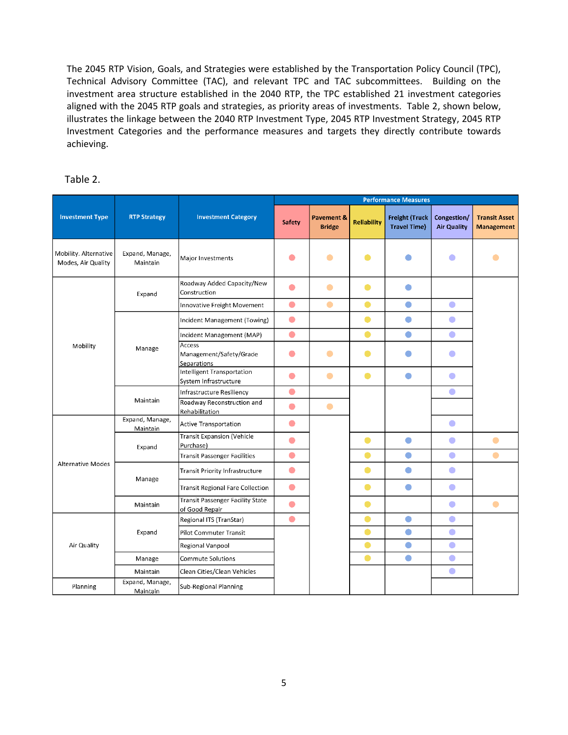## **Serious Injuries**

**Measure** – Five-year rolling averages of the number and rate of vehicular serious injuries in the H-GAC region.

**Methodology** – Serious injury numbers and rates are obtained from the Texas Crash Records Information System (CRIS) databases. Serious injury rates are calculated per 100 Million Vehicle Miles Traveled (VMT) in the region.

**Applicability** – All public roads and highways

**Reporting Frequency** – Annually

 $_{0.0}$ 

2011

2012

2013

2014

**Conditions and Targets** - H-GAC adopted the state's safety targets for the number and rate of serious injuries. The target is a 2% reduction from the trend line projection over a 5-year period. The values in the chart are statistics for the 8-county H-GAC region.



2018 2019 2020 2021

2022

2015 2016 2017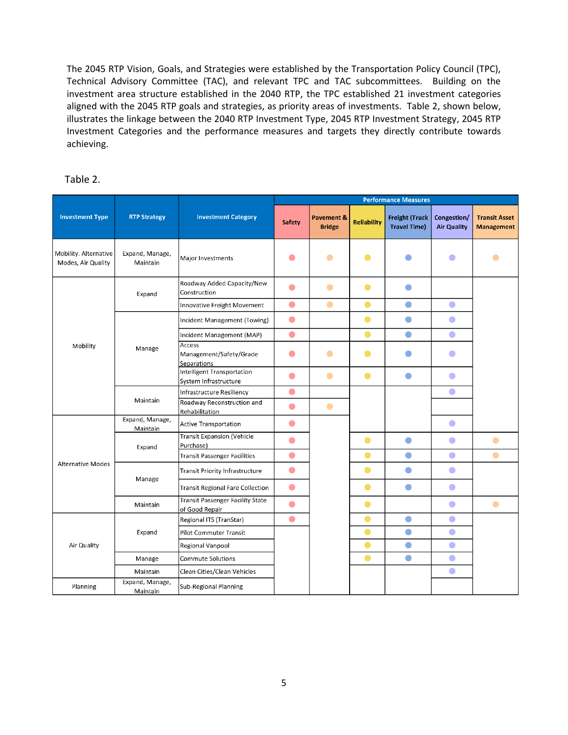## **Non-Motorized Fatalities and Serious Injuries**

**Measure** – Five-year rolling average of the number non-motorized fatalities and non-motorized serious injuries for bicyclists and pedestrians in the H-GAC region.

**Methodology** – Serious injury numbers and rates are obtained from the national Fatality Analysis Reporting System (FARS) and the Texas Crash Records Information System (CRIS) databases.

**Applicability** – All public roads and highways

**Reporting Frequency** – Annually

**Conditions and Targets -** H-GAC adopted the State's safety targets for the number of non-motorized serious injuries. The target is a 2% reduction from the trend line projection over a 5-year period. The values in the chart are statistics for the 8-county H-GAC region.



### **Integrating Safety Performance Measures into the Transportation Planning Process**

"The Regional Safety Plan was developed as a comprehensive plan that addresses the region's safety issues and offers feasible solutions. It serves as a framework for strategies and implementation actions to leverage safety programs and resources to the greatest extent possible. The performance measure targets in this plan are tangible goals for the region to work towards to support the State of Texas' crash reduction efforts, and its strategies support the State Highway Safety Plan and federal safety initiatives." *(Source: 2018 HGAC Regional Safety Plan)* 

Adopted in 2018, the Regional Safety Plan identifies five traffic safety focus areas. These focus areas were crash types with the highest percentage of fatalities in the region. The Transportation Safety Committee has been charged with developing implementation plans to address the focus areas over the next four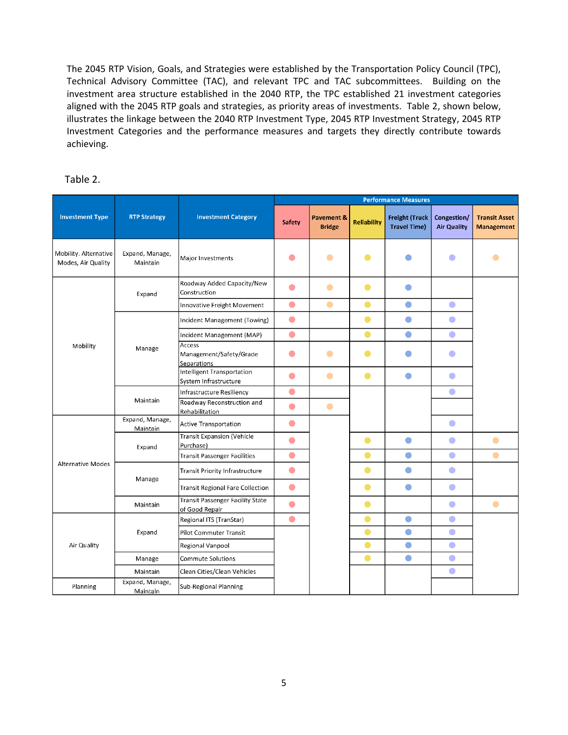years. The MPO will continue to publish an annual State of Safety Report to assess progress toward reducing the number of crashes, fatalities, and serious injuries throughout the region. In addition, the MPO will launch a series of intersection safety audits at high crash frequency intersections to identify crash characteristics and develop low-cost recommendations to address traffic safety issues at each location. The MPO will continue to coordinate its efforts with federal, state, and local partners to leverage resources and maximize results to enhance traffic safety in the Houston-Galveston area.

H-GAC incorporates performance measures into its programming activities by designating safety as one of the five foundational goals of the Regional Transportation Plan. Furthermore, H-GAC integrates the safety targets in the form of quantifiable strategies and goals within the regional transportation planning process. The primary method for the programming of projects is the Call for Projects issued by H-GAC. Embedded in the Call for Projects (CFP) selection criteria, the safety benefit cost analysis template indicates the number of crashes that will be reduced for each CFP project. Linking the programming of projects to quantifiable performance targets validates the success of performance-based planning.

### **2045 RTP transportation investments targeting safety improvements**

H-GAC, along with state and local government partners, have made strategic investments in transportation infrastructure improvements through the 2045 RTP. In 2018, H-GAC developed a Regional Safety Plan that identifies traffic safety focus areas, recommends crash reduction strategies and countermeasures. The fiscally-constrained 2045 RTP recommends a significant level of investments in ITS and safety projects and programs. This combined effort of planning, programming of projects, implementation of the safety plan, and critical transportation investments are expected to support and contribute to achieving the safety performance targets while greatly enhancing traffic safety for the region. The fiscally-constrained 2045 RTP recommended approximately \$579 million of investments in ITS and Safety projects and programs. These investments are not part of the Corridor-based Major Investments of the 2045 RTP.

| RTP 2045<br><b>STRATEGIES</b>                                                                                                                                           | STRATEGY 1<br>MANAGE<br>[System]<br>Management<br>and Operations] | STRATEGY 2<br><b>MAINTAIN</b><br>[Asset<br>Management] | STRATEGY 3<br>EXPAND<br>[Transportation<br>Network<br>Capacity] | <b>TOTAL</b>  |
|-------------------------------------------------------------------------------------------------------------------------------------------------------------------------|-------------------------------------------------------------------|--------------------------------------------------------|-----------------------------------------------------------------|---------------|
| REGIONAL INVESTMENT PROGRAMS<br>ITS/Safety: (Includes certain<br>roadway improvements, installation<br>of computerized traffic control<br>systems, Incident Management) | \$517,457,158                                                     | \$62,269,438                                           | <b>NA</b>                                                       | \$579,726,596 |

### **Safety-related Resources**

Highway Safety Improvement Program <https://safety.fhwa.dot.gov/hsip/> Strategic Highway Safety Plan <https://www.texasshsp.com/>

Regional Safety Pla[n https://www.h-gac.com/transportation-safety/documents/2018-Draft-Regional-Safety-](https://www.h-gac.com/transportation-safety/documents/2018-Draft-Regional-Safety-Plan.pdf)[Plan.pdf](https://www.h-gac.com/transportation-safety/documents/2018-Draft-Regional-Safety-Plan.pdf)

Transportation Safety Committee (formerly the Regional Safety Council) [http://www.h](http://www.h-gac.com/taq/transportation-committees/RSC/default.aspx)[gac.com/taq/transportation-committees/RSC/default.aspx](http://www.h-gac.com/taq/transportation-committees/RSC/default.aspx)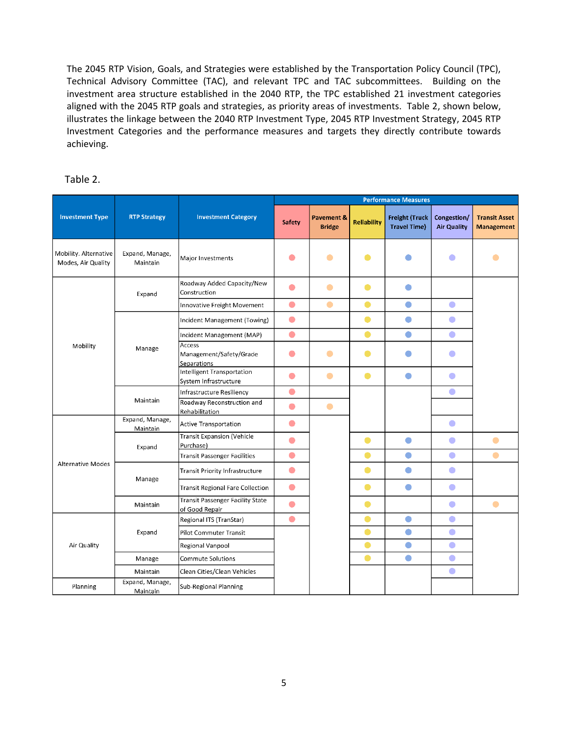# **PAVEMENT CONDITIONS**

Ensuring the preservation of pavements and bridges is critical to safety, the movement of goods and people, economic development. While the demand on the transportation system is greater than ever, pavements and bridges are steadily deteriorating due to traffic, weather and time. In effect, this highlights the importance for an emphasis on asset management and the preservation of pavement. "Pavement preservation programs and activities employ a network level, long-term strategy that enhances pavement performance by using an integrated, cost-effective set of practices that extend pavement life, improve safety, and meet road user expectations." *(source: PL 112-141, Moving Ahead for Progress in the 21st Century Act.)*

Implementing pavement asset management, along with performance target setting, provides an opportunity for moving the transportation system to a state of good repair, protects our investments in the transportation roadway system and stretches taxpayer dollars, as far as possible. An asset management program can improve system resiliency in the aftermath of extreme weather events, such as Hurricanes Harvey and Ike, changing climate conditions, and shifts in the regional economy.

Roadways on the National Highway System, (NHS) are mostly owned, maintained, and operated by the Texas Department of Transportation; however, a portion of the NHS is under the jurisdiction of cities, counties, and toll authorities. Federal Performance Asset Management prescribes the establishment of pavement targets for all roadways on the interstate and non-interstate highway system, regardless of ownership. While the federal performance measures are focused on National Highway System, H-GAC is concerned with the conditions of all pavements and bridges. In the state of Texas, there are 69,000 National Highway System lane miles; approximately, 12% are located in the H-GAC region.

Pavement condition data is a critical component of any pavement management system. TxDOT is responsible for collecting the necessary measurements and inspections to determine the conditions ratings defined by the federal performance measures rules. The federal criterion bases the pavement condition on the International Roughness Index (IRI), rutting, cracking and faulting. Essentially, the IRI is the overall ride quality of a roadway. The pavement analysis is based on distress ratings and ride quality measurements. TxDOT used historical measurements of pavement and bridge conditions to establish statewide targets.

Federal transportation bills require TxDOT to implement transportation asset management practices and set performance targets to a desired condition. The federal performance measures place a high priority on maintaining the good pavements and on raising the pavements in poor condition to a state of good repair. A good condition pavement rating suggests that no major investment is necessary, and conversely, a fair condition suggests that major reconstruction of the pavement is needed.

The pavement condition thresholds applicable to Interstate System roadways are shown in the table below.

| Interstate System Rating Thresholds |        |               |        |  |  |
|-------------------------------------|--------|---------------|--------|--|--|
| Good<br>Fair<br>Poor                |        |               |        |  |  |
| IRI (in/mile)                       | < 95   | $95 - 170$    | >170   |  |  |
| Cracking %                          | < 5    | $5 - 10$      | >10    |  |  |
| Rutting (in)                        | < 0.2  | $0.2 - 0.4$   | > 0.4  |  |  |
| Faulting (in)                       | < 0.05 | $0.05 - 0.15$ | > 0.15 |  |  |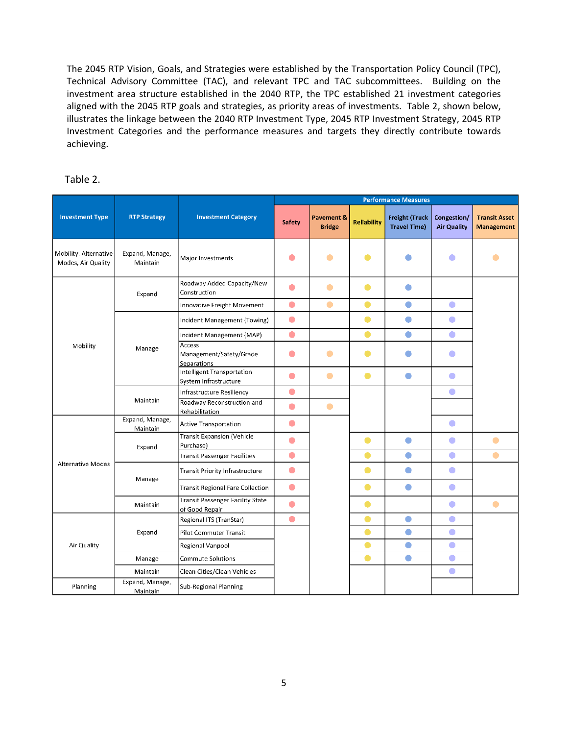The calculations of the pavement performance for Interstate System roadways are explained in the table below.

| Rating the Interstate National Highway System |                                                                                               |                                             |                        |  |  |
|-----------------------------------------------|-----------------------------------------------------------------------------------------------|---------------------------------------------|------------------------|--|--|
| <b>Overall Condition</b><br>Rating            | 3 metric ratings<br>(IRI, Cracking, Rutting)<br>for ACO, (IRI, Cracking,<br>Faulting) for JCP | 2 metric ratings<br>(IRI and Cracking) CRCP | <b>Measures</b>        |  |  |
| Good                                          | All three metrics rated                                                                       | Both metrics rated                          | % Lane Miles in "Good" |  |  |
|                                               | "Good"                                                                                        | "Good"                                      | Condition              |  |  |
| Poor                                          | > 2 Metrics rated                                                                             | Two metrics rated                           | % Lane miles in "Poor  |  |  |
|                                               | "Poor"                                                                                        | "Poor"                                      | Condition              |  |  |
| Fair:                                         | All other combinations                                                                        | All other combinations                      | % Lane miles in "Fair" |  |  |
|                                               |                                                                                               |                                             | Condition              |  |  |

The historical pavement condition data from the Texas Department of Transportation's Pavement Management Information System (PMIS) were translated into the corresponding pavement condition measures for MAP-21/FAST Act requirements. The data was used to develop the historical trends for pavement condition measures. A five-year moving average was used to calculate the performance targets.

The calculations of pavement condition for the Non-Interstate National Highway System roadways are defined in the table below. Unlike the Interstate System, when rating the condition of Non-Interstate NHS roadways, only the International Roughness Index (IRI) is measured.

| Rating the Non-Interstate National Highway System |                       |                       |                       |  |
|---------------------------------------------------|-----------------------|-----------------------|-----------------------|--|
| Good<br>Fair<br>Poor                              |                       |                       |                       |  |
| IRI (in/mile)                                     | < 95                  | $95 - 170$            | - 170                 |  |
| Measure                                           | Percent Lane Miles in | Percent Lane Miles in | Percent Lane Miles in |  |
|                                                   | "Good" Condition      | "Fair" Condition      | "Poor" Condition      |  |

The historical pavement condition data from TxDOT's Pavement Management Information System (PMIS) was used to develop the historical trends for pavement measures. A five-year moving average was used to develop the performance targets. Despite the fact that historical trends indicate pavement conditions are declining over time, H-GAC chose to adopt flat targets with the goal of maintaining current conditions and a desire for aspirational goals that indicate improvement of pavement conditions in the long-term.

States and MPOs must establish two and four-year targets and may adjust targets at the Mid-Performance Period Progress Report due in October 2020. The first performance period began January 1, 2018 and ends on December 31, 2021.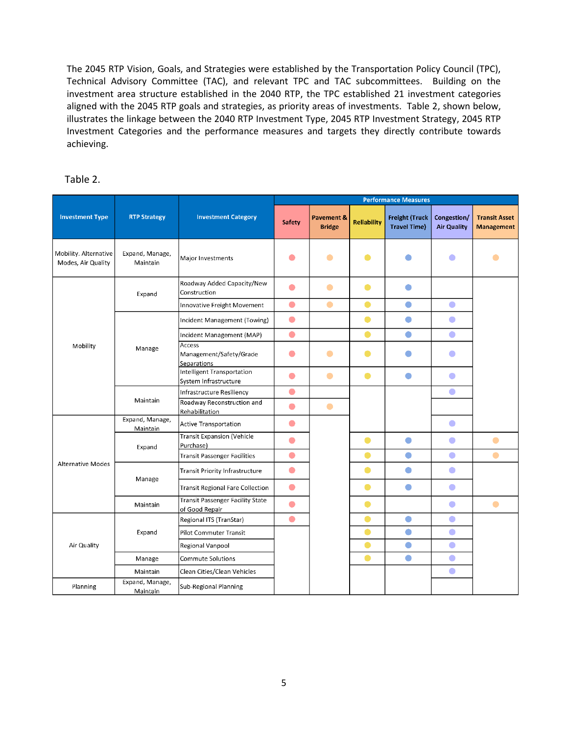## **Pavement Conditions – Interstate and Non-Interstate National Highway System**

**Measure** – Percentage of pavements of the interstate and non-interstate National Highway System with a condition rating of "good" and "poor" relative to the ride quality.

**Methodology** – Pavement conditions are based on the evaluation scores of the International Roughness Index (IRI), rutting, faulting and cracking. The condition scores are obtained from the Highway Performance Monitoring System (HPMS) and TxDOT's Pavement Management Information System (PMIS) databases.

**Applicability** – Interstate highways and Non-interstate highways of the National Highway System

**Reporting Frequency** – Biennially with four-year performance periods

**Targets and Conditions** – While the historical trends indicate pavement conditions are expected to decline by the year 2022, H-GAC chose to adopt flat targets. For Interstate highways, H-GAC adopted targets of 48.5% in good condition and 0.0% in poor condition for the years 2020 and 2022. For the Non-Interstate National Highway System (NHS), H-GAC adopted 46.7% in good condition and 11.3% in poor condition for the years 2020 and 2022. The values in the chart below reflect the statistics for the 8 county H-GAC region.



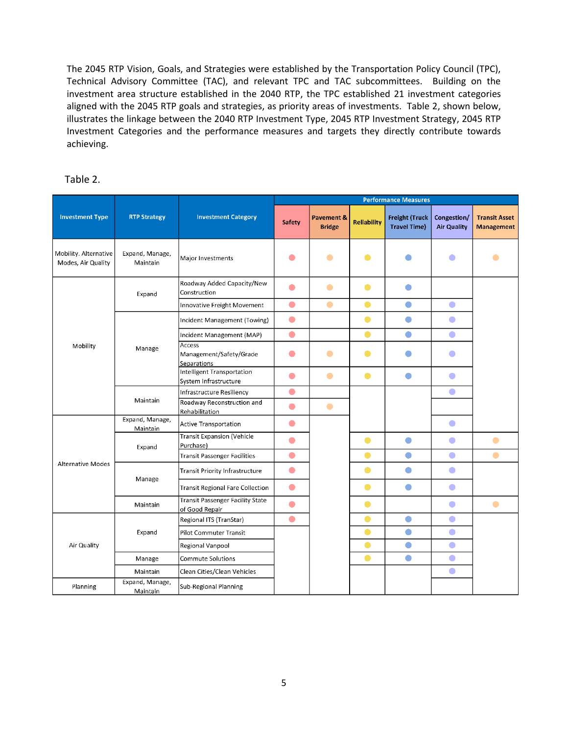# **BRIDGE CONDITIONS**

Asset management seeks to optimize lifecycle costs by setting and sustaining a desired target condition with the goals of improving the durability and extending the life of the region's bridges.

Performance measures and targets are applicable to all bridges on the National Highway System (NHS), which include on and off-ramps connected to the NHS within a State, and bridges carrying the NHS that cross a State border, regardless of ownership. A portion of the NHS system is under the jurisdiction of cities, counties, and toll authorities. For the approximately 2,500 bridges in the H-GAC region, 88% are owned by TxDOT and 12% are owned by other entities. The consideration of bridge performance targets should be determined from asset management analyses to achieve a state of good repair over the life cycle of assets.

Bridge conditions are based on the National Bridge Inventory evaluation ratings for the bridge's deck, superstructure, substructure and culvert. The condition rating of good, fair or poor are determined by the lowest rating of the deck, superstructure, substructure or culvert. For example, if the lowest rating of one or more of the four bridge components is less than or equal to four, the bridge's classification is rated as poor.

|                                | $\overline{\phantom{a}}$<br><b>COLUM</b><br><u>tall.</u> | .<br>וטט |
|--------------------------------|----------------------------------------------------------|----------|
| <b>Bridge Inventory Rating</b> | nn,                                                      | $\equiv$ |

The bridge targets are expressed in the percent of total bridge deck area. Deck area is computed using the structure length and deck width. For culverts, the deck area is calculated using the approach roadway width and structure length.

The historical pavement condition data was gathered from the Texas Department of Transportation's (TxDOT) Bridge Inventory. TxDOT surveys all bridges on the National Highway System and reports the conditions to the National Bridge Inventory. Historical bridge condition trends are based on a trend-line analysis. While the historical trends indicate bridge conditions are slowly declining, H-GAC chose to adopt flat targets for the years 2020 and 2022. Due to the lengthy lead time associated with environmental clearance, right of way purchase, design and the construction of a bridge, any new bridge being considered right now will have little or no influence on bridge conditions for the next three to five years. Despite the fact that historical trends indicate bridge conditions are declining in the future, H-GAC chose to adopt flat targets with the goal of maintaining current conditions and a desire for aspirational goals that indicate improvement of bridge conditions in the long-term.

States and MPOs must establish two and four-year targets and may adjust four-year targets at the Mid-Performance Period Progress Report due in October 2020. The first performance period begins January 1, 2018 and ends on December 31, 2021.

**Measure** – Percentage of bridge deck area of the National Highway System with a condition rating of "good" and "poor".

**Methodology** – Bridge deck conditions are based on the evaluation scores of the National Bridge Inventory.

**Applicability** – Bridges on the National Highway System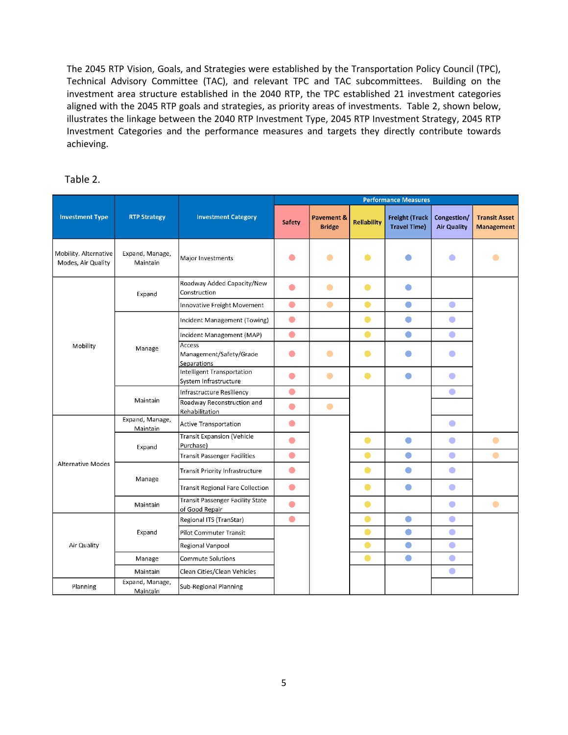### **Reporting Frequency** – Biennially with four-year performance periods

**Targets and Conditions** – While the straight-line trend historical data indicates bridge conditions are expected to decline by the year 2022, H-GAC chose to adopt flat targets of 48.6% of bridges in good condition and 0.6% in poor condition for the years 2020 and 2022. The values in the chart below reflect the statistics for the 8-county H-GAC region.



#### **Integrating Pavement and Bridge Performance Measures into the Transportation Planning Process**

Both the short and long-range planning processes afford the opportunity for advancing the transportation system to a State of Good Repair. One of the core strategies of the Call for Projects is Maintain Asset Management: to improve and preserve the condition of existing transportation infrastructure at the least practicable cost through the application of sound asset management techniques. The RTP 2045 project evaluation system was designed to be performance-based when prioritizing projects for the region. To highlight the significance of maintaining pavement and bridge infrastructure, the Call for Projects designated a separate category for Rehabilitation and Reconstruction aimed at improving the State of Good Repair for the region's infrastructure. Additionally, investments in the RTP investment category, Infrastructure Resiliency, will contribute to improved conditions of the transportation system.

Given the fiscal constraints of transportation funding, performance-based planning can help identify the best cost-effective projects to so the investment decisions in our transportation system will be allocated to the highest priorities of the pavement or bridge asset preservation program. In addition to designated reconstruction and rehabilitation projects, every added capacity, new construction, Complete Street, grade separation and access management project will contribute to achieving the pavement and bridge performance targets. As a result, the projects programmed in the RTP 2045 are expected to have a positive impact on achieving the pavement and bridge performance targets.

The challenge with transportation asset management is that H-GAC has the responsibility to report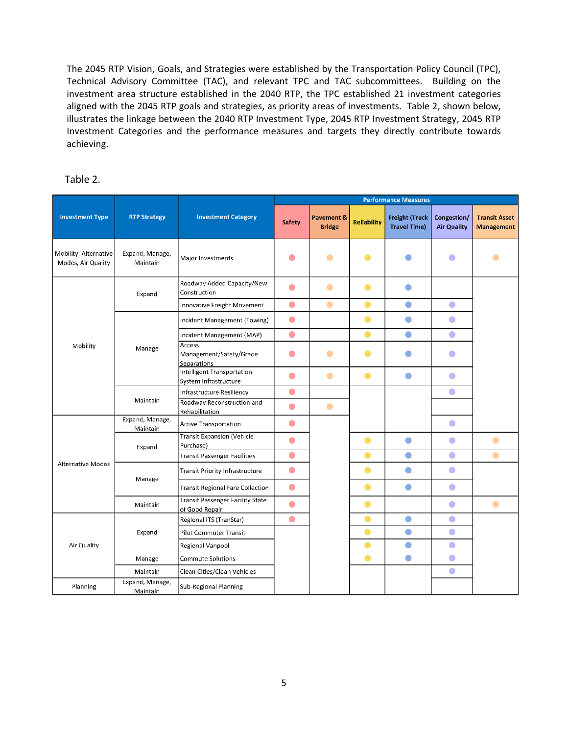progress, but MPOs don't control the management of the transportation assets. Not all NHS roadways are owned and maintained by the TxDOT. For the non-interstate NHS roadways, 66% are owned by TxDOT and 34% are owned by other agencies. For the interstates, 100% are state-owned. H-GAC is coordinating NHS pavement data sharing between TxDOT and Non-TxDOT agencies

H-GAC facilitates the dialogue and discussion between TxDOT and local agencies to serve as the conduit for information sharing. In addition, H-GAC is facilitating the coordination with other agencies, data sharing, understanding how each agency measures and collects data, discussing uniform data collection, and understanding the future investment plans for NHS roadways with TxDOT. Currently, the TxDOT is committed to expanding their data collection to align with the federal measures. One of the positive outcomes of Transportation Asset Management is that it affords the opportunity is to focus and collaborate with all agencies responsible for the maintenance of our critical transportation network.

Of particular challenge, the tremendous increase in population and truck traffic, expected in the Houston-Galveston region over the next twenty-five years, will add additional wear and tear will impact the targets for pavements and bridges.

### **2045 RTP transportation investments targeting pavement and bridge improvements**

H-GAC, along with state and local government partners, have made strategic investments in transportation infrastructure improvements through the 2045 RTP. The fiscally-constrained 2045 RTP recommends a significant level of investments in pavement and bridges. A combined effort of planning, programming of projects, collaborative data sharing, and critical transportation investments are expected to support and contribute to achieving the asset management targets for pavement and bridge while moving the system to a State of Good Repair. The fiscally-constrained 2045 RTP recommended approximately \$48 billion of investments for State of Good Repair projects and programs. Other types of projects, such as new roadways and highways, thoroughfare expansions, reconstructions, Complete Streets and other improvements are expected to make additional contributionstoward the State of Good Repair.

| RTP 2045                                                           | Strategy 2 - MAINTAIN<br>[Asset Management] |
|--------------------------------------------------------------------|---------------------------------------------|
| Corridor-Based Major Investments &<br>Regional Investment Programs | \$48,464,706,593                            |

### **Pavement and Bridge-related Resources**

Condition of Texas Pavements: Pavement Management Information System (PMIS) Annual Report [https://library.ctr.utexas.edu/Presto/content/Detail.aspx?ctID=UHVibGljYXRpb25fMTE2MTA=&rID=Mjc](https://library.ctr.utexas.edu/Presto/content/Detail.aspx?ctID=UHVibGljYXRpb25fMTE2MTA=&rID=MjcwODU=&ssid=c2NyZWVuSURfMTQ2MDk) [wODU=&ssid=c2NyZWVuSURfMTQ2MDk=](https://library.ctr.utexas.edu/Presto/content/Detail.aspx?ctID=UHVibGljYXRpb25fMTE2MTA=&rID=MjcwODU=&ssid=c2NyZWVuSURfMTQ2MDk)

Texas Transportation System Performance Results: Pavement Condition - [https://www.txdot.gov/inside](https://www.txdot.gov/inside-txdot/division/federal-affairs/preliminary-performance/pavement-conditions.html)[txdot/division/federal-affairs/preliminary-performance/pavement-conditions.html](https://www.txdot.gov/inside-txdot/division/federal-affairs/preliminary-performance/pavement-conditions.html)

Texas Transportation System Performance Results: Bridge Condition - [https://www.txdot.gov/inside](https://www.txdot.gov/inside-txdot/division/federal-affairs/preliminary-performance/bridge-conditions.html)[txdot/division/federal-affairs/preliminary-performance/bridge-conditions.html](https://www.txdot.gov/inside-txdot/division/federal-affairs/preliminary-performance/bridge-conditions.html)

Texas Transportation Plan 2040 - [https://www.txdot.gov/inside-txdot/division/transportation](https://www.txdot.gov/inside-txdot/division/transportation-planning/statewide-plan/2040/plan.html)[planning/statewide-plan/2040/plan.html](https://www.txdot.gov/inside-txdot/division/transportation-planning/statewide-plan/2040/plan.html)

National Bridge Inventory - <https://www.fhwa.dot.gov/bridge/nbi.cfm>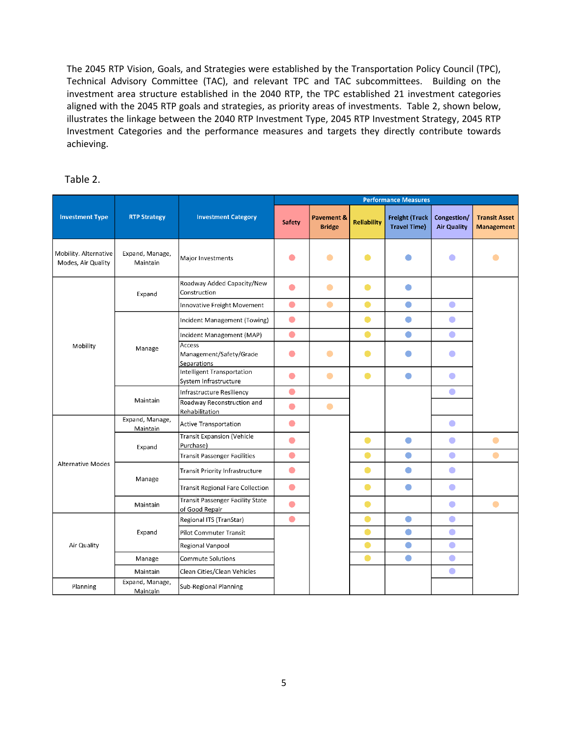# **SYSTEM PERFORMANCE**

The System Performance Group contains a set of performance measures aimed at evaluating and improving the overall performance of the National Highway System. These measures place focus on personal travel, as well as, freight, reducing congestion and tailpipe emissions, and increasing multioccupant vehicle use. Improving the system performance of the transportation network means there will be more reliable and less congested roadways, an increased use of alternative transportation modes and an increase in multi-occupant commuting vehicles, resulting in less vehicle emissions.

# **Reliability**

One of the goals of System Performance Measures is to assess the reliability of the National Highway System (NHS). Travel reliability is when the travel time of a roadway remains consistent. Reliability measures the difference of travel time, across hour and day, for both personal travel and freight, and examines peak travel over a year's time. Essentially, the measure of travel reliability compares a bad day of traffic to a normal day.

The three (3) travel time reliability performance measures are:

- Personal travel time on the interstate
- Personal travel time on the non-interstate roadways of the National Highway System
- Truck travel time on the interstate

The Reliability measures utilize two metrics:

- Level of Travel Time Reliability (LOTTR) ratio for personal travel. LOTTR measures the difference of travel time across hour and day. Expressed as a ratio, LOTTR is the ratio of travel time in a bad condition in relationship to the travel time in an average condition. LOTTR ratios below a 1.50 threshold are labeled as "reliable". The measure is calculated separately for the interstate and the non-interstate segments of the National Highway System.
- Truck Travel Time Reliability Index (TTTR) for truck travel on the interstate highways.

**Measure (LOTTR)** – Percentage of person-miles traveled on the National Highway System that are reliable, as defined by the measure, the Level of Travel Time Reliability (LOTTR). LOTTR is a ratio of the 80<sup>th</sup> percentile (bad day of traffic) to the 50<sup>th</sup> percentile (normal) travel time for a roadway segment. A ratio below 1.5 is considered to be "reliable"; and a ratio of 1.5 or greater are "unreliable".

Reporting is divided into four time periods:

- Weekdays 6 a.m. to 10 a.m.
- Weekdays 10 a.m. to 4 p.m.
- Weekdays 4 p.m. to 7 p.m.
- Weekends 6 a.m. to 8 p.m.

If the roadway segment is unreliable during any one of the four time periods, the roadway segment is labeled as "unreliable".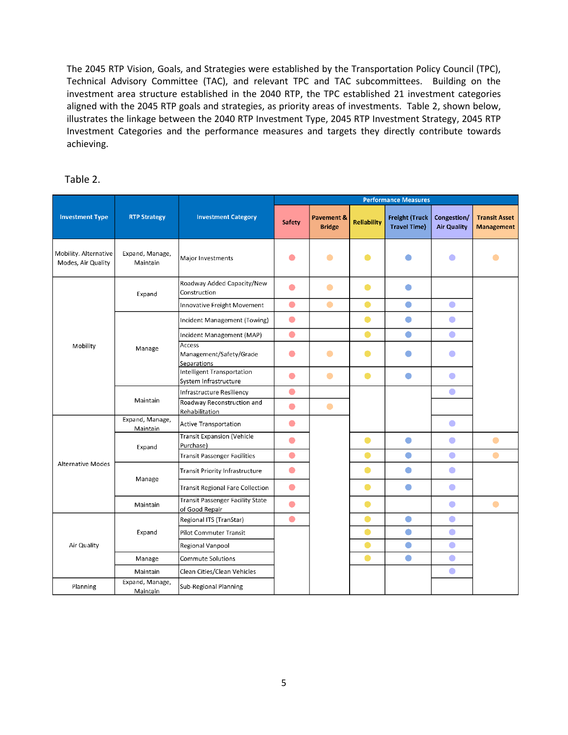**Methodology** – Reliable person-miles are calculated using data from the National Performance Management Research Data Set (NPRMDS) which contains travel time by roadway segment every 15 minutes. The average occupancy value used for the Houston-Galveston region is 1.69.

Developed in collaboration with the twenty-five Texas Metropolitan Planning Organizations, the Texas Transportation Institute (TTI) calculated Level of Travel Time Reliability (LOTTR) targets for the entire state. Their methodology is based on an assumed growth of regional travel demand, but does not consider potential travel time improvements from upcoming projects in the Transportation Improvement Program and the Regional Transportation Plan, such as added capacity projects, the Tow & Go Program and TranStar. The methodology assumes that anything close to being unreliable now is expected to be unreliable in the future. The NPRMDS data was collected by HERE Technologies from 2014 to 2016. In 2017, FHWA changed the vendor to INRIX which created data inconsistencies for target setting.

The range for reliable is 0% to 50% and unreliable is 51% or greater (times than average). For example, for a trip that normally takes 60 minutes, on a bad day of traffic, it will take 90 minutes or more (60 mins. x 50% = 90 mins.), therefore, the trip is considered to be unreliable. The higher the percentage, the more reliable it is. Based on the TTI methodology used across the state, for the Houston region, currently, 63% of person-miles traveled on the Interstate are reliable and is forecasted to be 50% reliable by 2022, with less reliability. As illustrated in the table below, the Non-Interstate National Highway System roadways in the region are more reliable than the Interstate.

**Applicability** – All roadways on the National Highway System

**Reporting Frequency** – Biennially with four-year performance periods

**Targets and Conditions (LOTTR)** - Despite the fact that the TTI methodology indicates that reliability conditions for personal travel are worsening, H-GAC chose to adopt flat targets with a desire for aspirational goals that indicate better reliability in the long-term.

| <b>Baseline</b> | 2020 Target | 2022 Target |
|-----------------|-------------|-------------|
|                 |             |             |
| 63%             | 63%         | 63%         |
|                 |             |             |
| 73%             | 73%         | 73%         |
|                 |             |             |

Freight movement is assessed by the Truck Travel Time Reliability (TTTR) Index on the interstate. The truck reliability measure considers factors that are unique to the freight industry, such as the use of the transportation system during all hours of the day and the need to consider impacts to the system in planning for on-time deliveries and arrivals. Recognizing the importance of on-time deliveries, this measure assesses the reliability of freight movement on the interstate with a high standard of making ontime deliveries, 95% of the time.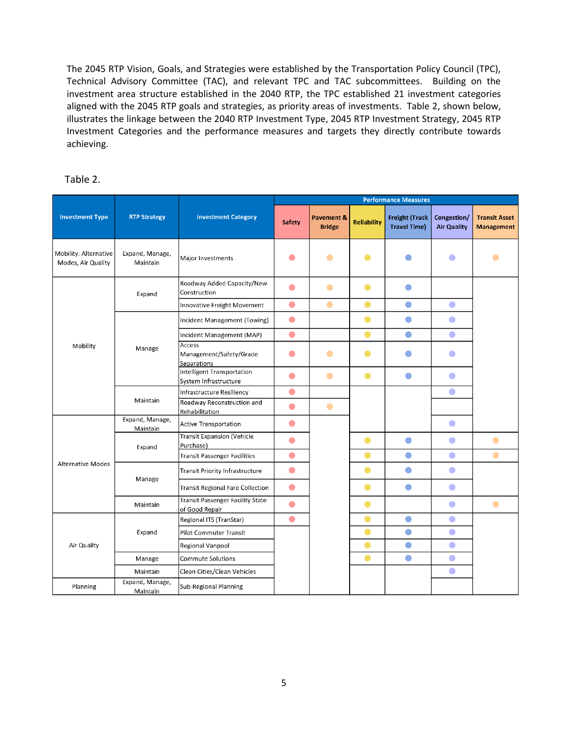**Measure (TTTR)** – Truck Travel Time Reliability ratio is calculated by dividing the 95<sup>th</sup> percentile travel time (very bad day of traffic) by the 50th percentile (normal) travel time for each roadway segment of the interstate. The TTTR index is generated by multiplying each segment's largest ratio of the five time periods by its length, then dividing the sum of all length-weighted segments by the total length of the interstate.

Reporting is divided into five time periods:

- Mondays through Fridays:
	- o Morning peak 6 a.m. to 10 a.m.
	- $\circ$  Mid Day 10 a.m. to 4 p.m.
	- o Afternoon peak 4 p.m. to 8 p.m.
- Weekends
	- $\circ$  6 a.m. to 8 p.m.
	- Overnights for all days
		- $\circ$  8 p.m. to 6 a.m.

**Methodology** – The TTTR index is calculated using data from the National Performance Management Research Data Set (NPRMDS) which contains travel time by roadway segment every 15 minutes.

Developed in collaboration with the twenty-five Texas Metropolitan Planning Organizations, the Texas Transportation Institute (TTI) calculated Truck Travel Time Reliability targets for the entire state. The methodology is based on an assumed 2% annual growth of truck unreliability, but does not consider potential travel time improvements from upcoming projects in the Transportation Improvement Program and the Regional Transportation Plan, such as added capacity projects, the Tow & Go Program and TranStar. The NPRMDS data was collected by HERE Technologies from 2014 to 2016. In 2017, FHWA changed the vendor to INRIX which created data inconsistency problems for target setting.

Based on the TTI methodology used across the state, for the Houston region, the baseline for Truck Travel Time Reliability (TTTR) index is 2.1. The truck index is the amount of time a truck driver needs to add to a median trip length to arrive on-time, 95% of the time. For example, for a truck trip of 30 minutes, using the regional baseline of 2.1, a total time of 63 minutes would need to be scheduled for the truck to arrive, on-time, 95% of the time. (30 mins  $x$  2.1 baseline = 63 mins)

**Applicability** – Interstate highways

 $\overline{a}$ 

**Reporting Frequency** – Biennially with four-year performance periods

**Targets and Conditions** - Despite the fact that the TTI methodology forecasts freight reliability conditions are worsening, H-GAC chose to adopt flat targets with the goal of maintaining current conditions and a desire for aspirational goals that indicate better truck reliability in the long-term. Better estimates and targets may be updated after two years when improved data-sets are available.

| <b>Performance Measure</b>                            | <b>Baseline</b> | 2020<br><b>Target</b> | 2022<br><b>Target</b> |
|-------------------------------------------------------|-----------------|-----------------------|-----------------------|
| Truck Travel Time Reliability Index on the Interstate | 2.1             | 21                    | 21                    |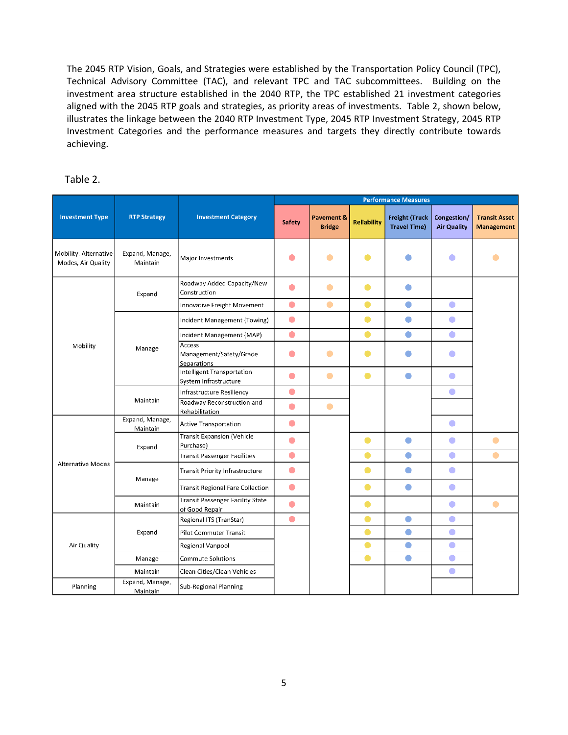# **Congestion**

FHWA established two performance measures to assess traffic congestion applicable to metropolitan planning organizations who receive Congestion Mitigation Air Quality (CMAQ) funding.

- Annual Hours of Peak Hour Excessive Delay Per Capita
- Percent of Non-Single Occupancy Vehicle Travel

Annual Hours of Peak Hour Excessive Delay (PHED) – This measure refers to the additional time spent in congested traffic, in addition to the regular peak hour congestion, based on an established speed threshold. The federal threshold for excessive delay on a roadway is 60% of the speed limit. On a segment with a speed limit of 60 mph, the excessive delay (60% of 60 mph) would be 36 mph. Peak periods are defined as Monday through Friday 6:00 a.m. to 10:00 a.m. and 3:00 p.m. to 7:00 p.m.

**Measure (PHED)** – Annual Hours of Peak Hour Excessive Delay (PHED) per capita - This is the number of extra travel time spent in peak traffic, under excessive delay conditions, annually.

**Methodology** – The PHED is calculated using all vehicle data from the National Performance Management Research Data Set (NPRMDS) which contains travel time by roadway segment every 15 minutes, with volumes in the Highway Performance Monitoring System (HPMS) and occupancy factors.

TxDOT enlisted the Texas Transportation Institute (TTI) to establish a statewide methodology and recommend future year targets for all MPOs in the state for the System Performance Group. TTI calculated the base-year measurement from observed data and formulated future year targets. The TTI methodology does not include estimates for the impact of project investments and congestion mitigation projects that H-GAC is implementing at a regional level.

**Applicability** – National Highway System in urbanized areas

**Reporting Frequency** – Biennially with four-year performance periods

**Targets and Conditions** - Based on the feedback received by TAC members during the October 2, 2018 TAC Workshop, staff has proposed to use the TTI methodology for the baseline and set targets for 2020 and 2022 to be same as the 2018 baseline numbers for Percent of Trips that are Non-Single Vehicle Occupancy Travel. H-GAC adopted flat targets. Better estimates and targets may be updated after two years when improved data sets are available.

| <b>Congestion Performance Measure</b>                | <b>Baseline</b> | 2020<br><b>Target</b> | 2022<br><b>Target</b> |
|------------------------------------------------------|-----------------|-----------------------|-----------------------|
| Annual Hours of Peak Hour Excessive Delay per capita | 14              | 14                    | 14                    |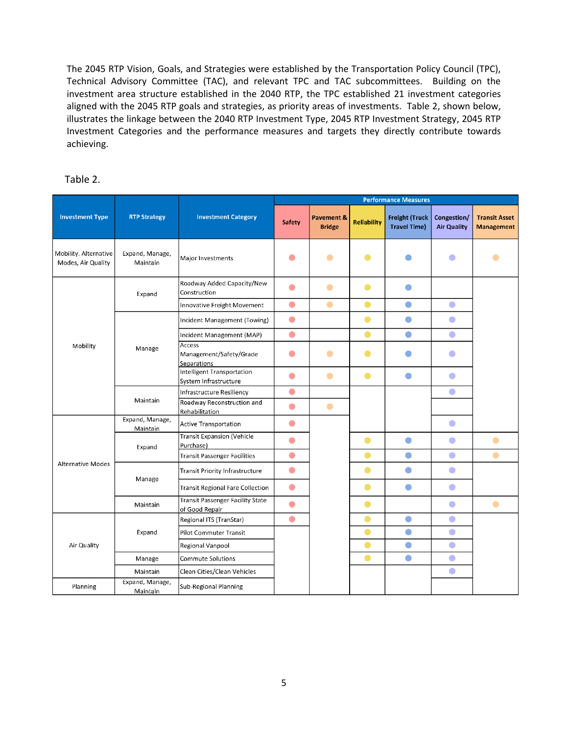Percent of Trips that are in Non-Single Occupancy Vehicles (Non-SOV) – The goal of this measure is focused on reducing congestion by increasing the number of work trips where commuters are sharing a ride with others. In the H-GAC region, 78.9% of commuters drive alone and 21.1% of commuters are sharing a ride, such as carpooling, using regional vanpool, riding public transportation, walking, bicycling and other means.

**Measure (Non-SOV)** – Percent of Trips that are Non-SOV, based on work commute types

**Methodology** – Percent of Trips that are Non-SOV is calculated from H-GAC's travel demand model and compared with the U.S. Census American Community Survey data.

**Applicability** – All roadways in the urbanized areas of the 8-county H-GAC region.

**Reporting Frequency** – Biennially with four-year performance periods

**Targets and Conditions** – Based on the feedback received by TAC members during the October 2, 2018 TAC Workshop, staff considered using the TTI methodology for the baseline and set targets for 2020 and 2022 to be same as the 2018 baseline numbers for the Percent of Trips that are Non-Single Vehicle Occupancy Travel. For the Percent of Non-Single Occupancy Vehicle measure, staff utilized the H-GAC travel demand model for target setting. Based on the model data and calculations, staff projected the mode share for Non-SOV to grow due to strategies implemented at the regional level. In light of the H-GAC region's forecast of high levels of economic and population growth, resulting in more travel and commuters, H-GAC chose to adopt targets with a desire for aspirational goals that indicate an increase in multi-occupant vehicle use in the long-term.

| <b>Congestion Performance Measure</b>                  | <b>Baseline</b> | 2020<br><b>Target</b> | 2022<br><b>Target</b> |
|--------------------------------------------------------|-----------------|-----------------------|-----------------------|
| Percent of Trips that are Non-Single Vehicle Occupancy |                 |                       |                       |
| Travel                                                 | 20.1%           | 21.1%                 | 22.1%                 |

# **Air Quality / On-Road Mobile Source Emissions Measures**

FHWA established air quality performance measures to assess vehicle emissions with a goal of reducing emissions resulting in better air quality. Metropolitan Planning Organizations (MPO) with a population over 1,000,000 that receive Congestion Mitigation Air Quality (CMAQ) funding are required to set targets for on-road mobile source emission reductions and to develop a CMAQ Performance Plan. The reporting period is biennially, with four year performance periods.

Due to new requirements resulting in the FAST Act, MPOs that receive Congestion Mitigation and Air Quality Improvement (CMAQ) funds must work with state DOTs to develop performance management targets for the Nitrogen Oxide (NOx) and Volatile Organic Compound (VOC) emissions reduced by projects programmed with CMAQ funding. For the Houston-Galveston region, this includes targets for NOx and VOC emissions. In response to this requirement, the Texas Department of Transportation reached out to the MPOs in Texas nonattainment regions for collaboration in the development of emissions reduction estimates. Through consultations with H-GAC and two other nonattainment MPOs, an alternative methodology was developed. The baseline and performance targets shown in the table below were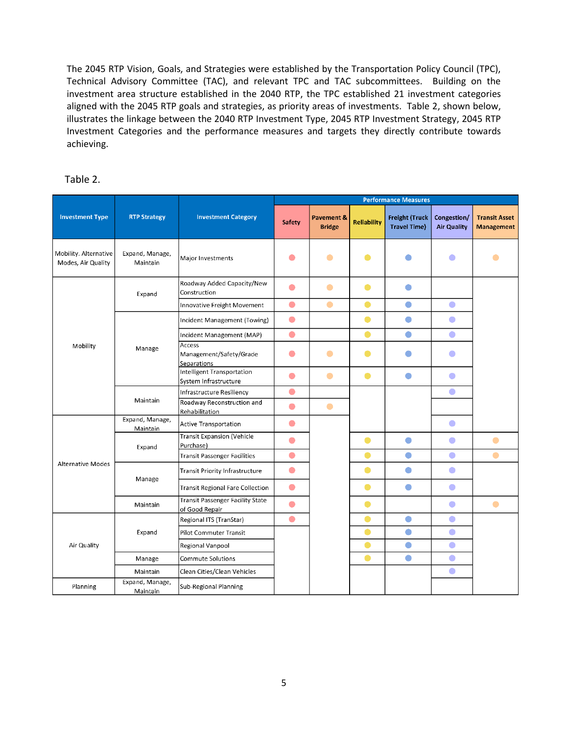developed using current projects and their actual emissions from projects in the 2019-2022 Transportation Improvement Program. The baseline and targets are documented in the CMAQ Performance Plan, located at [http://www.h-gac.com/transportation-improvement-program/project](http://www.h-gac.com/transportation-improvement-program/project-resources.aspx)[resources.aspx.](http://www.h-gac.com/transportation-improvement-program/project-resources.aspx) The four-year emission reduction target from CMAQ funded projects is a conservative estimate, as once the 2018 Call for Projects are submitted and approved, more CMAQ funded projects are likely to be added which will increase the expected emissions reduced.

**Targets and Conditions** – H-GAC adopted the emission reduction baseline and performance targets for Nitrogen Oxides (NOx) and Volatile Organic Compounds (VOC), expressed in kilograms per day.

| Performance<br><b>Measure</b>                | <b>2018 Baseline</b> | 2020      | 2022<br>2-Year Target 4-Year Target |  |
|----------------------------------------------|----------------------|-----------|-------------------------------------|--|
| <b>Emission Reductions</b><br>$NOx$ (kg/day) | 453 741              | 1,419.426 | 1,883.294                           |  |
| <b>Emission Reductions</b><br>VOC (kg/day)   | 66.850               | 169 301   | 200.809                             |  |

### **Integrating System Performance Measures into the Transportation Planning Process**

Moving People and Goods Efficiently and Strengthen Regional Economic Competitiveness are two of the five foundational goals of the Regional Transportation Plan, H-GAC is integrating the System Performance targets in the form of quantifiable strategies within the regional transportation planning process. H-GAC incorporates performance measures into its programming activities through the core strategy, Manage, as related to system management and operations.

The RTP 2045 project evaluation system was intended to be performance-based for prioritizing projects for the region. The primary method for the programming of projects is the Call for Projects. Fifty percent of the project's score is calculated from benefit cost analyses in three key areas: reduction of travel delay, on-road vehicle emissions reductions, and safety improvements to reduce crashes. With a heightened focus on the improving the performance of the transportation system, the benefit cost analysis types have a direct linkage to the reliability, congestion and air quality performance measures.

### **2045 RTP transportation investments targeting improvements to System Performance**

H-GAC, along with state and local government partners, have made strategic investments in transportation infrastructure and programs through the 2045 RTP. The fiscally-constrained 2045 RTP recommends a significant level of investments for System Performance. A combined effort of planning,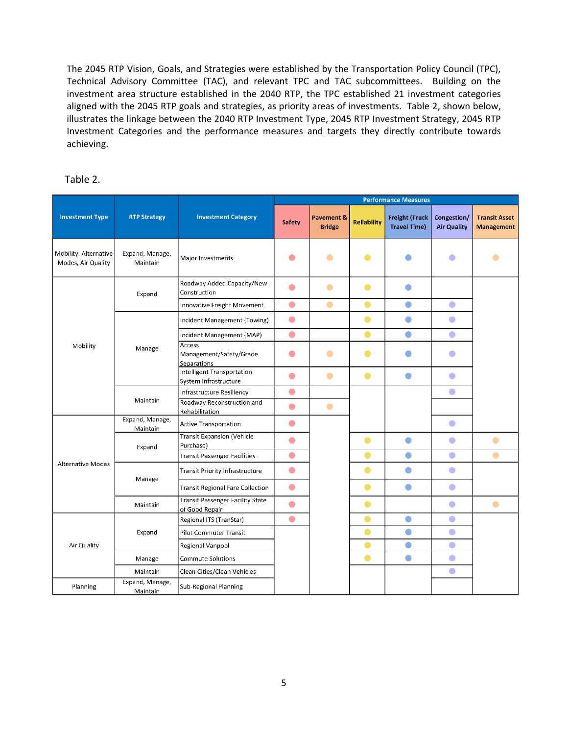programming of projects, improved data collection, and critical transportation investments are expected to support and contribute to achieving the targets for System Performance.

Reliability and Congestion – The fiscally-constrained 2045 RTP recommended approximately \$37 billion of investments of Corridor-based Major Investments and Regional Investment Programs from the 2045 RTP Strategy 1, Manage for addressing Reliability and Congestion, as shown in the table below.

| RTP 2045                                                           | Strategy 1 - MANAGE<br>[System Management and Operations] |
|--------------------------------------------------------------------|-----------------------------------------------------------|
| Corridor-Based Major Investments &<br>Regional Investment Programs | \$37,004,441,916                                          |

Air Quality – Total Emission Reductions - The fiscally-constrained 2045 RTP recommended approximately \$46.7 billion of investments of in the categories of ITS/Safety, Local High Capacity Transit, Pedestrian/Bicycle, Transit Capital Program and Air Quality projects and programs for improving air quality and achieving the performance targets, as described in the table below. These investments are not part of the Corridor-based Major Investments of the 2045 RTP.

| RTP 2045<br><b>STRATEGIES</b>                                                                                                                 | STRATEGY 1<br>MANAGE<br>[System]<br>Management and<br>Operations] | STRATEGY 2<br><b>MAINTAIN</b><br><b>S</b> Asset<br>Management] | STRATEGY 3<br><b>FXPAND</b><br>[Transportation<br><b>Network</b><br>Capacity] | <b>TOTAL</b>     |
|-----------------------------------------------------------------------------------------------------------------------------------------------|-------------------------------------------------------------------|----------------------------------------------------------------|-------------------------------------------------------------------------------|------------------|
| REGIONAL INVESTMENT PROGRAMS                                                                                                                  |                                                                   |                                                                |                                                                               |                  |
| <b>Air Quality Related</b>                                                                                                                    | \$254,598,000                                                     | <b>NA</b>                                                      | <b>NA</b>                                                                     | \$254,598,000    |
| ITS/Safety: (Includes certain<br>roadway improvements,<br>installation of computerized<br>traffic control systems, Incident<br>Management)    | \$517,457,158                                                     | \$62,269,438                                                   | <b>NA</b>                                                                     | \$579,726,596    |
| <b>Local High Capacity Transit:</b><br>(Includes non-corridor light rail,<br>park and ride, transit centers,<br>demand management strategies) | \$15,908,231,556                                                  | \$99,598,227                                                   | \$13,790,549,267                                                              | \$29,798,379,050 |
| Pedestrian/Bicycle: (Includes on-<br>street facilities, hike and bike<br>trails and paths, and<br>reconstruction)                             | \$130,247,249                                                     | \$51,178,297                                                   | \$1,626,470,674                                                               | \$1,807,896,220  |
| Transit Capital: (Includes all<br>other new or expanded facilities,<br>services, and vehicles)                                                | \$4,272,120,809                                                   | \$2,404,429,566                                                | \$7,669,280,587                                                               | \$14,345,830,962 |
| <b>TOTAL</b>                                                                                                                                  | \$20,082,654,772                                                  | \$2,617,475,528                                                | \$23,086,300,528                                                              | \$46,786,430,828 |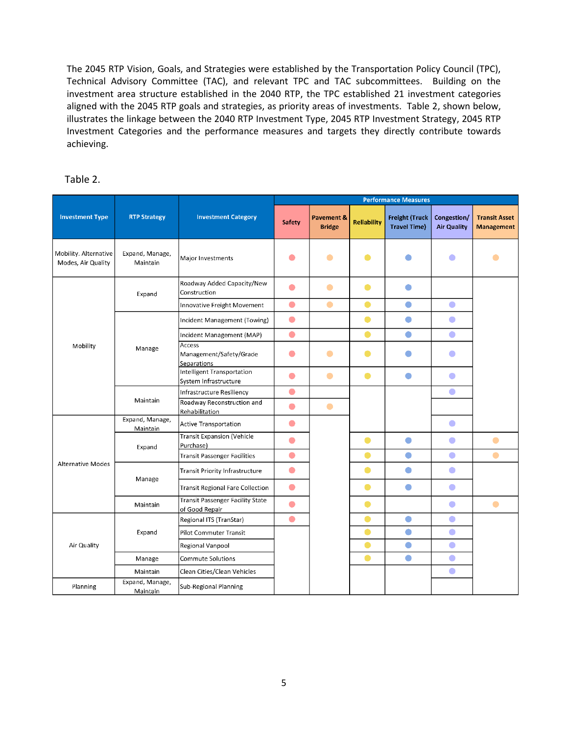### **TRANSIT ASSET MANAGEMENT**

The Moving Ahead for Progress (MAP-21), Final Rule 49 USC 625 established a strategic and systematic process of operating, maintaining, and improving public capital assets effectively through their entire life cycle. This rule became effective October 2016 and includes the definition of "Transit Asset Management Plan" (TAM) and "State of Good Repair". Additionally, the rule establishes performance measures for equipment, rolling stock, infrastructure, and facilities asset categories to assist when making investment decisions. Transit providers that receive federal funds and either own, operate or manage capital assets used in providing public transportation are required to develop and implement TAM Plans and submit performance measures, annual condition assessments, and targets to the National Transit Database. Subrecipients and Tier II providers (that operate one hundred or fewer vehicles) have the option to develop a group TAM Plan with the Texas Department of Transportation (TxDOT) or develop their own plan.

Transit Asset Management Plans contain the capital asset inventories for rolling stock, equipment, nonrevenue vehicles, facilities and rail infrastructure. Rail infrastructure applies to METRO only. Investment prioritizations, decision support tools, as well as, risk mitigation, maintenance, acquisition and renewal strategies are the core activities of the TAM Plans.

The majority of the assets in our region belong to Tier I provider METRO. The Tier II providers that receive FTA Section 5307, 5310 & 5311 funding can either set their own targets, as direct recipients, or opt to be included in TxDOT's Group Plan. Colorado Valley Transit was the only provider that opted to be included with TxDOT's Group Plan. H-GAC collaborated with TxDOT, Tier I, and Tier II providers to set regional targets, as required by the Final Rule.

Tier I transit providers:

• METRO (Harris County Metropolitan Transit Authority)

Tier II transit providers:

- Brazos Transit District
- Colorado Valley Transit
- Connect Transit
- Conroe Connection Transit
- Fort Bend County Transit
- Galveston Island Transit
- Harris County Transit
- The Woodlands Transit

The Regional Transit Coordination Committee held meetings during 2017 and 2018 to discuss the process required to formulate TAM Plans and targets. In May 2018, the Transportation Policy Council (TPC) approved an interagency Memorandum of Understanding between the region's transit operators, TxDOT, and H-GAC to facilitate regional collaboration and promote a performance-based planning process.

H-GAC staff led the coordination efforts for target setting and TAM Plan development with the Regional Transit Coordination Subcommittee (RTCS) in 2018. The RTCS established a TAM Plan Working Group with the objective of developing H-GAC regional targets and to promote State of Good Repair of capital assets. The working group formulated a methodology for the regional targets in the four areas of rolling stock, equipment, facilities, and infrastructure. The TAM Plan Working Group endorsed a methodology for setting the region's targets based on a weighted average of asset management scores for Tier I and Tier II transit providers for their rolling stock, equipment, facilities and rail infrastructure.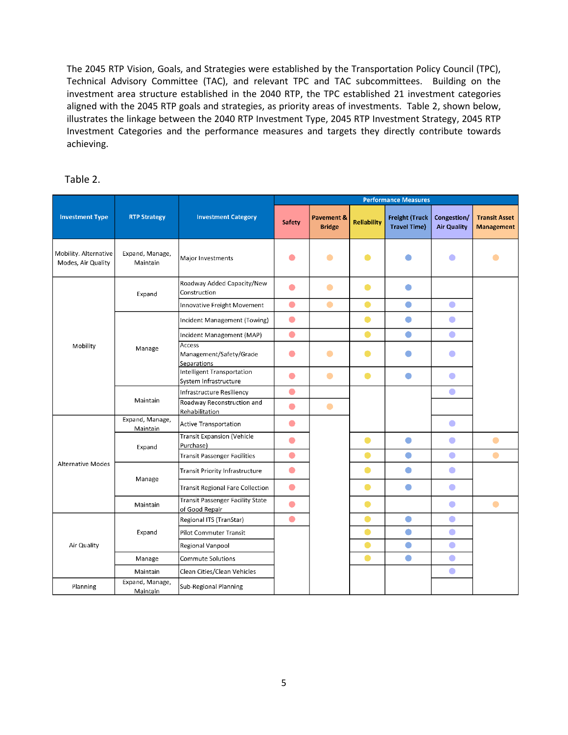Based on the weighted average method, the regional targets were presented and approved by the Regional Transit Coordination Subcommittee. The Technical Advisory Committee and the Transportation Policy Council approved H-GAC's regional transit targets, as described in the following table.

| <b>Asset Category &amp; Performance Measures</b>     | <b>FY 2018</b> | <b>FY 2020</b> | FY 2022 |  |  |  |
|------------------------------------------------------|----------------|----------------|---------|--|--|--|
| Rolling Stock - Revenue Vehicles - Age               |                |                |         |  |  |  |
| % of revenue vehicles that have met or exceeded      |                |                |         |  |  |  |
| their ULB                                            |                |                |         |  |  |  |
| Tier I Target                                        | 10%            | 10%            | 10%     |  |  |  |
| <b>Tier II Target</b>                                | 19%            | 16%            | 17%     |  |  |  |
| <b>TxDOT Target</b>                                  | 15%            | 15%            | 15%     |  |  |  |
| Regionwide Target                                    | 11%            | 11%            | 11%     |  |  |  |
| Equipment - Non - Revenue Vehicles - Age             |                |                |         |  |  |  |
| % of non-revenue vehicles that have met or           |                |                |         |  |  |  |
| exceeded their ULB                                   |                |                |         |  |  |  |
| Tier I Target                                        | 46%            | 46%            | 46%     |  |  |  |
| <b>Tier II Target</b>                                | 0%             | 0%             | 0%      |  |  |  |
| <b>TxDOT Target</b>                                  | 15%            | 15%            | 15%     |  |  |  |
| <b>Regionwide Target</b>                             | 46%            | 46%            | 46%     |  |  |  |
| Facilities - All buildings/Structures - Condition- % |                |                |         |  |  |  |
| of facilities have a condition rating below 3.0 TERM |                |                |         |  |  |  |
| Tier I Target                                        | 54%            | 54%            | 54%     |  |  |  |
| <b>Tier II Target</b>                                | 75%            | 67%            | 60%     |  |  |  |
| <b>TxDOT Target</b>                                  | 15%            | 15%            | 15%     |  |  |  |
| Regionwide Target                                    | 55%            | 55%            | 54%     |  |  |  |
| Infrastructure - Fixed Rail Guideway, tracks,        |                |                |         |  |  |  |
| signals & systems - % of rail infrastructure         |                |                |         |  |  |  |
| with performance (speed) restrictions, by mode       |                |                |         |  |  |  |
| Tier I Target                                        | 0%             | 0%             | 0%      |  |  |  |
| <b>Regionwide Target</b>                             | 0%             | 0%             | 0%      |  |  |  |

### Transit Asset Management Performance Measures and Targets by Asset Category

Note: Useful Life Benchmark (ULB) is the expected lifecycle of a capital asset for a transit provider's operating environment, or the acceptable period of use in service for a transit provider's operating environment. Transit Economic Requirements Model (TERM) Scale: Facility condition assessments reported to the NTD have one overall TERM rating per facility. TERM Rating –Excellent – (4.8-5.0); Good – (4.0-4.7); Adequate – (3.0-3.9); Marginal – (2.0-2.9); Poor (1.0-1.9)

**Integrating Transit Asset Management Performance Measuresinto the Transportation Planning Process** Both the short and long-range planning processes afford the opportunity for advancing the transportation system to a state of good repair. Two the core strategies of the Call for Projects applicable to Transit Asset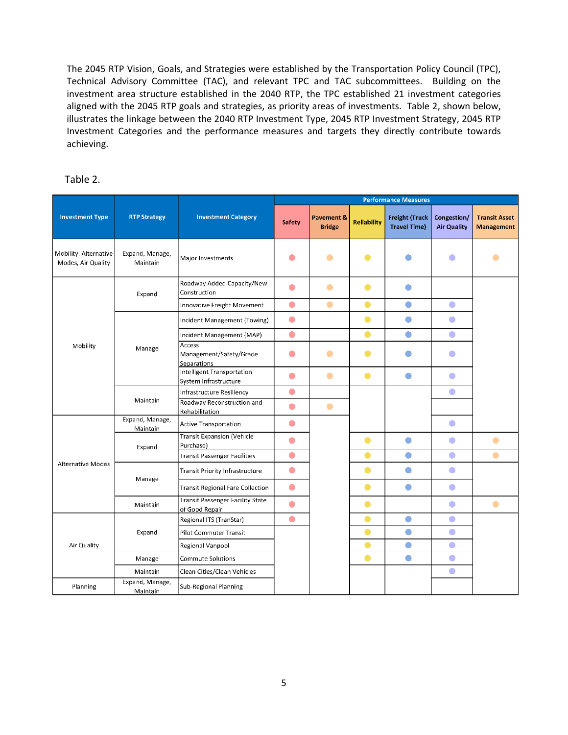Management are: 1). Maintain Asset Management: to improve and preserve the condition of existing transportation infrastructure at the least practicable cost through the application of sound asset management techniques; and 2). Expand Multimodal Network Capacity: add capacity across all modes of travel with a focus on the interconnections between different networks and services that provide users with greater choices. The RTP 2045 project evaluation system was designed to be performance-based when prioritizing projects for the region. To highlight the significance of managing the assets of the transit programs, the Call for Projects designated four transit investment categories: Transit Priority Infrastructure, Transit Facility State of Good Repair, Transit Passenger Facilities, and Transit Expansion for vehicle purchases. The Transit Investment Strategies for the RTP 2045 are:

| <b>Transit Investment Strategies</b>                            |                                                                             |                                                                                                             |  |  |
|-----------------------------------------------------------------|-----------------------------------------------------------------------------|-------------------------------------------------------------------------------------------------------------|--|--|
| <b>MANAGE</b><br>System Management &<br><b>Operations</b>       | <i><b>MAINTAIN</b></i><br><b>Asset Management</b>                           | <b>EXPAND</b><br><b>Transportation Network</b><br>Capacity                                                  |  |  |
| • Regional Fare Collection<br>• Transit Priority Infrastructure | • Vehicle Replacement and<br>Overhaul<br>• Facility State of Good<br>Repair | Passenger Facilities (Park &<br>Ride/Pool, Transfer<br>Points/Super Stops,<br>Shelters)<br>Vehicle Purchase |  |  |

Given the fiscal constraints of transportation funding, performance-based planning can help identify the best cost-effective projects to so the investment decisions in our transportation system will be allocated to the highest priorities of the Transit Asset Management (TAM) program. As a result, the projects programmed in the RTP 2045 are expected to support and contribute towards achieving the TAM performance targets.

### **2045 RTP transportation investments targeting improvements to Transit Asset Management**

Regional transit provider's TAM Plans summarize revenue rolling stock vehicles, including buses and light rail vehicles, non-revenue service vehicles, light rail track maintenance right of way assets, public facilities, and operating facilities. TAM Plans have outlined how each provider will monitor, update and evaluate the TAM plan to ensure continuous improvement. On an annual basis, transit providers will track their agency's progress toward the targets, report on their progress, and have the option to revise their targets, if needed.

Funding will be used to focus on transit asset management and planning, life cycle and safety of equipment, vehicles and other assets and infrastructure used by transit agencies, such as buses and vans, building and other rail assets. Through the implementation of TAM Plans, each of the region's transit providers are carefully evaluating their funding for projects that will contribute to achieving their individual transit asset management performance targets. As a result, TAM Plans are expected to have a significant impact toward achieving the Transit Asset Management targets.

H-GAC, along with state and local government partners, have made strategic investments in transit projects and programs through the 2045 RTP. The fiscally-constrained 2045 RTP recommends a significant